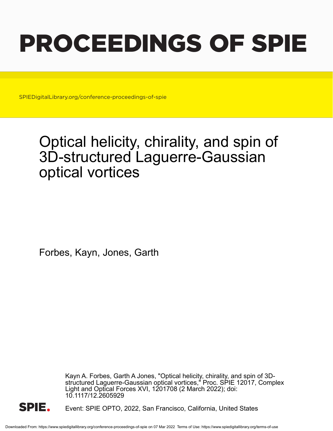# PROCEEDINGS OF SPIE

SPIEDigitalLibrary.org/conference-proceedings-of-spie

## Optical helicity, chirality, and spin of 3D-structured Laguerre-Gaussian optical vortices

Forbes, Kayn, Jones, Garth

Kayn A. Forbes, Garth A Jones, "Optical helicity, chirality, and spin of 3Dstructured Laguerre-Gaussian optical vortices," Proc. SPIE 12017, Complex Light and Optical Forces XVI, 1201708 (2 March 2022); doi: 10.1117/12.2605929



Event: SPIE OPTO, 2022, San Francisco, California, United States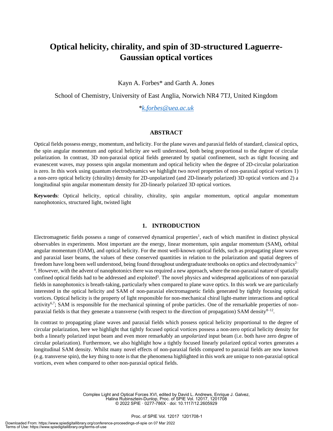### **Optical helicity, chirality, and spin of 3D-structured Laguerre-Gaussian optical vortices**

Kayn A. Forbes\* and Garth A. Jones

School of Chemistry, University of East Anglia, Norwich NR4 7TJ, United Kingdom

*\*k.forbes@uea.ac.uk*

#### **ABSTRACT**

Optical fields possess energy, momentum, and helicity. For the plane waves and paraxial fields of standard, classical optics, the spin angular momentum and optical helicity are well understood, both being proportional to the degree of circular polarization. In contrast, 3D non-paraxial optical fields generated by spatial confinement, such as tight focusing and evanescent waves, may possess spin angular momentum and optical helicity when the degree of 2D-circular polarization is zero. In this work using quantum electrodynamics we highlight two novel properties of non-paraxial optical vortices 1) a non-zero optical helicity (chirality) density for 2D-unpolarized (and 2D-linearly polarized) 3D optical vortices and 2) a longitudinal spin angular momentum density for 2D-linearly polarized 3D optical vortices.

**Keywords**: Optical helicity, optical chirality, chirality, spin angular momentum, optical angular momentum nanophotonics, structured light, twisted light

#### **1. INTRODUCTION**

Electromagnetic fields possess a range of conserved dynamical properties<sup>1</sup>, each of which manifest in distinct physical observables in experiments. Most important are the energy, linear momentum, spin angular momentum (SAM), orbital angular momentum (OAM), and optical helicity. For the most well-known optical fields, such as propagating plane waves and paraxial laser beams, the values of these conserved quantities in relation to the polarization and spatial degrees of freedom have long been well understood, being found throughout undergraduate textbooks on optics and electrodynamics<sup>2–</sup> <sup>4</sup>. However, with the advent of nanophotonics there was required a new approach, where the non-paraxial nature of spatially confined optical fields had to be addressed and exploited<sup>5</sup>. The novel physics and widespread applications of non-paraxial fields in nanophotonics is breath-taking, particularly when compared to plane wave optics. In this work we are particularly interested in the optical helicity and SAM of non-paraxial electromagnetic fields generated by tightly focusing optical vortices. Optical helicity is the property of light responsible for non-mechanical chiral light-matter interactions and optical activity<sup>6,7</sup>; SAM is responsible for the mechanical spinning of probe particles. One of the remarkable properties of nonparaxial fields is that they generate a transverse (with respect to the direction of propagation) SAM density<sup>8-12</sup>.

In contrast to propagating plane waves and paraxial fields which possess optical helicity proportional to the degree of circular polarization, here we highlight that tightly focused optical vortices possess a non-zero optical helicity density for both a linearly polarized input beam and even more remarkably an *unpolarized* input beam (i.e. both have zero degree of circular polarization). Furthermore, we also highlight how a tightly focused linearly polarized optical vortex generates a longitudinal SAM density. Whilst many novel effects of non-paraxial fields compared to paraxial fields are now known (e.g. transverse spin), the key thing to note is that the phenomena highlighted in this work are unique to non-paraxial optical vortices, even when compared to other non-paraxial optical fields.

> Complex Light and Optical Forces XVI, edited by David L. Andrews, Enrique J. Galvez, Halina Rubinsztein-Dunlop, Proc. of SPIE Vol. 12017, 1201708 © 2022 SPIE · 0277-786X · doi: 10.1117/12.2605929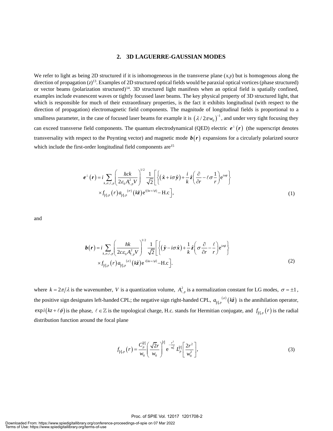#### **2. 3D LAGUERRE-GAUSSIAN MODES**

We refer to light as being 2D structured if it is inhomogeneous in the transverse plane  $(x, y)$  but is homogenous along the direction of propagation (*z*)<sup>13</sup>. Examples of 2D structured optical fields would be paraxial optical vortices (phase structured) or vector beams (polarization structured)<sup>14</sup>. 3D structured light manifests when an optical field is spatially confined, examples include evanescent waves or tightly focussed laser beams. The key physical property of 3D structured light, that which is responsible for much of their extraordinary properties, is the fact it exhibits longitudinal (with respect to the direction of propagation) electromagnetic field components. The magnitude of longitudinal fields is proportional to a smallness parameter, in the case of focused laser beams for example it is  $(\lambda/2\pi w_0)^{-1}$ , and under very tight focusing they can exceed transverse field components. The quantum electrodynamical (QED) electric  $e^{\perp}(r)$  (the superscript denotes transversality with respect to the Poynting vector) and magnetic mode  $b(r)$  expansions for a circularly polarized source which include the first-order longitudinal field components are<sup>15</sup>

$$
\boldsymbol{e}^{\perp}(\boldsymbol{r}) = i \sum_{k,\sigma,\ell,p} \left( \frac{\hbar ck}{2\varepsilon_0 A_{\ell,p}^2 V} \right)^{1/2} \frac{1}{\sqrt{2}} \left[ \left\{ (\hat{\boldsymbol{x}} + i\sigma \hat{\boldsymbol{y}}) + \frac{i}{k} \hat{z} \left( \frac{\partial}{\partial r} - \ell \sigma \frac{1}{r} \right) e^{i\sigma \phi} \right\} \times f_{|\ell|,p}(\boldsymbol{r}) a_{|\ell|,p}(\sigma) (k\hat{z}) e^{i(kz+\ell\phi)} - \text{H.c.} \right],
$$
\n(1)

and

$$
\boldsymbol{b}(\boldsymbol{r}) = i \sum_{k,\sigma,\ell,p} \left( \frac{\hbar k}{2c \varepsilon_0 A_{\ell,p}^2 V} \right)^{1/2} \frac{1}{\sqrt{2}} \left[ \left\{ \left( \hat{\mathbf{y}} - i\sigma \hat{\mathbf{x}} \right) + \frac{1}{k} \hat{z} \left( \sigma \frac{\partial}{\partial r} - \frac{\ell}{r} \right) e^{i\sigma\phi} \right\} \times f_{|\ell|,p} \left( r \right) a_{|\ell|,p} \left( \sigma \left( k \hat{z} \right) e^{i(kz + \ell\phi)} - \text{H.c.} \right]. \tag{2}
$$

where  $k = 2\pi/\lambda$  is the wavenumber, V is a quantization volume,  $A_{\ell,p}^2$  is a normalization constant for LG modes,  $\sigma = \pm 1$ , the positive sign designates left-handed CPL; the negative sign right-handed CPL,  $a_{a}^{(a)}(k\hat{z})$  is the annihilation operator,  $\exp i(kz+\ell\phi)$  is the phase,  $\ell \in \mathbb{Z}$  is the topological charge, H.c. stands for Hermitian conjugate, and  $f_{|\ell|,p}(r)$  is the radial distribution function around the focal plane

$$
f_{\left| \ell \right|,p} \left( r \right) = \frac{C_{p}^{\left| \ell \right|}}{w_{0}} \left( \frac{\sqrt{2}r}{w_{0}} \right)^{\left| \ell \right|} e^{-\frac{r^{2}}{w_{0}^{2}}} L_{p}^{\left| \ell \right|} \left[ \frac{2r^{2}}{w_{0}^{2}} \right],
$$
\n(3)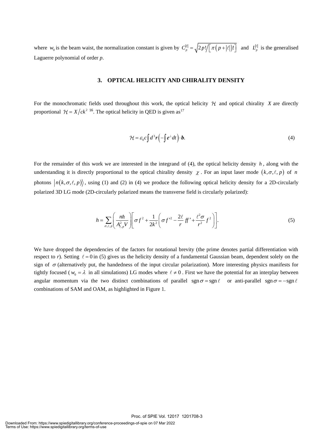where  $w_0$  is the beam waist, the normalization constant is given by  $C_p^{|\ell|} = \sqrt{\frac{2p!}{\pi (p+|\ell|)!}}$  and  $L_p^{|\ell|}$  is the generalised Laguerre polynomial of order *p*.

#### **3. OPTICAL HELICITY AND CHIRALITY DENSITY**

For the monochromatic fields used throughout this work, the optical helicity  $H$  and optical chirality X are directly proportional  $\mathcal{H} = X/ck^2$  <sup>16</sup>. The optical helicity in QED is given as <sup>17</sup>

$$
\mathcal{H} = \varepsilon_0 c \int d^3 \mathbf{r} \left( -\int e^{\perp} dt \right) \cdot \mathbf{b}.
$$
 (4)

For the remainder of this work we are interested in the integrand of  $(4)$ , the optical helicity density  $h$ , along with the understanding it is directly proportional to the optical chirality density  $\chi$ . For an input laser mode  $(k, \sigma, \ell, p)$  of *n* photons  $|n(k,\sigma,\ell,p)\rangle$ , using (1) and (2) in (4) we produce the following optical helicity density for a 2D-circularly polarized 3D LG mode (2D-circularly polarized means the transverse field is circularly polarized):

$$
h = \sum_{\sigma,\ell,p} \left( \frac{n\hbar}{A_{\ell,p}^2 V} \right) \left[ \sigma f^2 + \frac{1}{2k^2} \left( \sigma f'^2 - \frac{2\ell}{r} f' + \frac{\ell^2 \sigma}{r^2} f^2 \right) \right].
$$
 (5)

We have dropped the dependencies of the factors for notational brevity (the prime denotes partial differentiation with respect to r). Setting  $\ell = 0$  in (5) gives us the helicity density of a fundamental Gaussian beam, dependent solely on the sign of  $\sigma$  (alternatively put, the handedness of the input circular polarization). More interesting physics manifests for tightly focused ( $w_0 = \lambda$  in all simulations) LG modes where  $\ell \neq 0$ . First we have the potential for an interplay between angular momentum via the two distinct combinations of parallel sgn  $\sigma = \text{sgn } \ell$  or anti-parallel sgn  $\sigma = -\text{sgn } \ell$ combinations of SAM and OAM, as highlighted in Figure 1.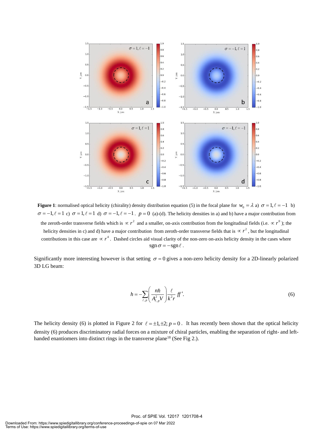

**Figure 1**: normalised optical helicity (chirality) density distribution equation (5) in the focal plane for  $w_0 = \lambda$  a)  $\sigma = 1, \ell = -1$  b)  $\sigma = -1, \ell = 1$  c)  $\sigma = 1, \ell = 1$  d)  $\sigma = -1, \ell = -1$ .  $p = 0$  (a)-(d). The helicity densities in a) and b) have a major contribution from the zeroth-order transverse fields which is  $\propto r^2$  and a smaller, on-axis contribution from the longitudinal fields (i.e.  $\propto r^0$ ); the helicity densities in c) and d) have a major contribution from zeroth-order transverse fields that is  $\propto r^2$ , but the longitudinal contributions in this case are  $\propto r^4$ . Dashed circles aid visual clarity of the non-zero on-axis helicity density in the cases where  $sgn \sigma = -sgn \ell$ .

Significantly more interesting however is that setting  $\sigma = 0$  gives a non-zero helicity density for a 2D-linearly polarized 3D LG beam:

$$
h = -\sum_{\ell,p} \left( \frac{n\hbar}{A_{\ell,p}^2 V} \right) \frac{\ell}{k^2 r} f f'. \tag{6}
$$

The helicity density (6) is plotted in Figure 2 for  $\ell = \pm 1, \pm 2$ ;  $p = 0$ . It has recently been shown that the optical helicity density (6) produces discriminatory radial forces on a mixture of chiral particles, enabling the separation of right- and lefthanded enantiomers into distinct rings in the transverse plane<sup>18</sup> (See Fig 2.).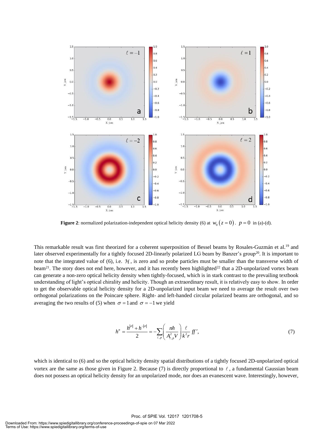

**Figure 2**: normalized polarization-independent optical helicity density (6) at  $w_0(z=0)$ .  $p=0$  in (a)-(d).

This remarkable result was first theorized for a coherent superposition of Bessel beams by Rosales-Guzmán et al.<sup>19</sup> and later observed experimentally for a tightly focused 2D-linearly polarized LG beam by Banzer's group<sup>20</sup>. It is important to note that the integrated value of (6), i.e.  $H$ , is zero and so probe particles must be smaller than the transverse width of beam<sup>21</sup>. The story does not end here, however, and it has recently been highlighted<sup>22</sup> that a 2D-unpolarized vortex beam can generate a non-zero optical helicity density when tightly-focused, which is in stark contrast to the prevailing textbook understanding of light's optical chirality and helicity. Though an extraordinary result, it is relatively easy to show. In order to get the observable optical helicity density for a 2D-unpolarized input beam we need to average the result over two orthogonal polarizations on the Poincare sphere. Right- and left-handed circular polarized beams are orthogonal, and so averaging the two results of (5) when  $\sigma = 1$  and  $\sigma = -1$  we yield

$$
h^{n} = \frac{h^{|\sigma|} + h^{-|\sigma|}}{2} = -\sum_{\ell, p} \left( \frac{n\hbar}{A_{\ell, p}^{2} V} \right) \frac{\ell}{k^{2} r} f f', \tag{7}
$$

which is identical to (6) and so the optical helicity density spatial distributions of a tightly focused 2D-unpolarized optical vortex are the same as those given in Figure 2. Because (7) is directly proportional to  $\ell$ , a fundamental Gaussian beam does not possess an optical helicity density for an unpolarized mode, nor does an evanescent wave. Interestingly, however,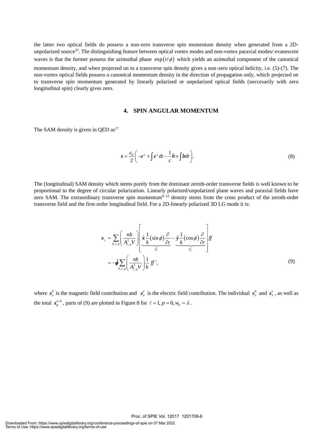the latter two optical fields do possess a non-zero transverse spin momentum density when generated from a 2Dunpolarized source<sup>23</sup>. The distinguishing feature between optical vortex modes and non-vortex paraxial modes/ evanescent waves is that the former possess the azimuthal phase  $exp(i\ell\phi)$  which yields an azimuthal component of the canonical momentum density, and when projected on to a transverse spin density gives a non-zero optical helicity, i.e. (5)-(7). The non-vortex optical fields possess a canonical momentum density in the direction of propagation only, which projected on to transverse spin momentum generated by linearly polarized or unpolarized optical fields (neccesarily with zero longitudinal spin) clearly gives zero.

#### **4. SPIN ANGULAR MOMENTUM**

The SAM density is given in OED as $17$ 

$$
s = \frac{\varepsilon_0}{2} \left( -e^{\perp} \times \int e^{\perp} dt - \frac{1}{c} b \times \int b dt \right).
$$
 (8)

The (longitudinal) SAM density which stems purely from the dominant zeroth-order transverse fields is well known to be proportional to the degree of circular polarization. Linearly polarized/unpolarized plane waves and paraxial fields have zero SAM. The extraordinary transverse spin momentum $9-12$  density stems from the cross product of the zeroth-order transverse field and the first-order longitudinal field. For a 2D-linearly polarized 3D LG mode it is:

$$
\mathbf{s}_{\perp} = \sum_{k,\ell,p} \left( \frac{n\hbar}{A_{\ell,p}^2 V} \right) \left[ \frac{\hat{\mathbf{x}} \frac{1}{k} (\sin \phi) \frac{\partial}{\partial r}}{\frac{\hat{\mathbf{s}}_x^b}{s_x^{\xi}}} - \frac{\hat{\mathbf{y}} \frac{1}{k} (\cos \phi) \frac{\partial}{\partial r}}{\frac{\hat{\mathbf{s}}_y^{\xi}}{s_y^{\xi}}} \right] ff
$$
  
=  $-\hat{\boldsymbol{\phi}} \sum_{k,\ell,p} \left( \frac{n\hbar}{A_{\ell,p}^2 V} \right) \frac{1}{k} ff',$  (9)

where  $s_x^b$  is the magnetic field contribution and  $s_y^e$  is the electric field contribution. The individual  $s_x^b$  and  $s_y^e$ , as well as the total  $s_{\phi}^{e+b}$ , parts of (9) are plotted in Figure 8 for  $\ell = 1, p = 0, w_0 = \lambda$ .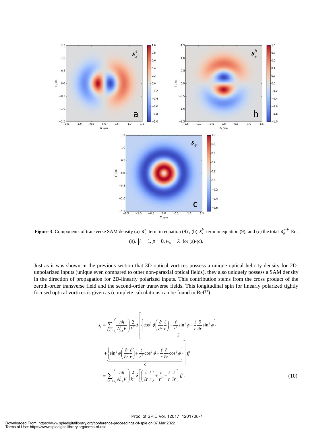

**Figure 3**: Components of transverse SAM density (a)  $s_y^e$  term in equation (9); (b)  $s_x^b$  term in equation (9); and (c) the total  $s_\phi^{e+b}$  Eq. (9).  $|\ell| = 1, p = 0, w_0 = \lambda$  for (a)-(c).

Just as it was shown in the previous section that 3D optical vortices possess a unique optical helicity density for 2Dunpolarized inputs (unique even compared to other non-paraxial optical fields), they also uniquely possess a SAM density in the direction of propagation for 2D-linearly polarized inputs. This contribution stems from the cross product of the zeroth-order transverse field and the second-order transverse fields. This longitudinal spin for linearly polarized tightly focused optical vortices is given as (complete calculations can be found in  $Ref<sup>17</sup>$ )

$$
s_{\parallel} = \sum_{k,\ell,p} \left( \frac{n\hbar}{A_{\ell,p}^2 V} \right) \frac{2}{k^2} z \left[ \left\{ \cos^2 \phi \left( \frac{\partial}{\partial r} \frac{\ell}{r} \right) + \frac{\ell}{r^2} \sin^2 \phi - \frac{\ell}{r} \frac{\partial}{\partial r} \sin^2 \phi \right\} \right]
$$
  
+ 
$$
\left\{ \sin^2 \phi \left( \frac{\partial}{\partial r} \frac{\ell}{r} \right) + \frac{\ell}{r^2} \cos^2 \phi - \frac{\ell}{r} \frac{\partial}{\partial r} \cos^2 \phi \right\} \right] ff
$$
  
= 
$$
\sum_{k,\ell,p} \left( \frac{n\hbar}{A_{\ell,p}^2 V} \right) \frac{2}{k^2} z \left[ \left( \frac{\partial}{\partial r} \frac{\ell}{r} \right) + \frac{\ell}{r^2} - \frac{\ell}{r} \frac{\partial}{\partial r} \right] ff.
$$
 (10)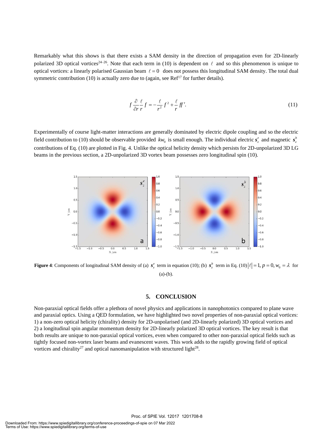Remarkably what this shows is that there exists a SAM density in the direction of propagation even for 2D-linearly polarized 3D optical vortices<sup>24–26</sup>. Note that each term in (10) is dependent on  $\ell$  and so this phenomenon is unique to optical vortices: a linearly polarised Gaussian beam  $\ell = 0$  does not possess this longitudinal SAM density. The total dual symmetric contribution (10) is actually zero due to (again, see  $Ref<sup>17</sup>$  for further details).

$$
f\frac{\partial}{\partial r}\frac{\ell}{r}f = -\frac{\ell}{r^2}f^2 + \frac{\ell}{r}ff'.
$$
 (11)

Experimentally of course light-matter interactions are generally dominated by electric dipole coupling and so the electric field contribution to (10) should be observable provided  $kw_0$  is small enough. The individual electric  $s_z^e$  and magnetic  $s_z^b$ contributions of Eq. (10) are plotted in Fig. 4. Unlike the optical helicity density which persists for 2D-unpolarized 3D LG beams in the previous section, a 2D-unpolarized 3D vortex beam possesses zero longitudinal spin (10).



**Figure 4**: Components of longitudinal SAM density of (a)  $s_z^e$  term in equation (10); (b)  $s_z^b$  term in Eq. (10)  $|\ell|=1$ ,  $p=0$ ,  $w_0=\lambda$  for  $(a)-(b)$ .

#### **5. CONCLUSION**

Non-paraxial optical fields offer a plethora of novel physics and applications in nanophotonics compared to plane wave and paraxial optics. Using a QED formulation, we have highlighted two novel properties of non-paraxial optical vortices: 1) a non-zero optical helicity (chirality) density for 2D-unpolarised (and 2D-linearly polarized) 3D optical vortices and 2) a longitudinal spin angular momentum density for 2D-linearly polarized 3D optical vortices. The key result is that both results are unique to non-paraxial optical vortices, even when compared to other non-paraxial optical fields such as tightly focused non-vortex laser beams and evanescent waves. This work adds to the rapidly growing field of optical vortices and chirality<sup>27</sup> and optical nanomanipulation with structured light<sup>28</sup>.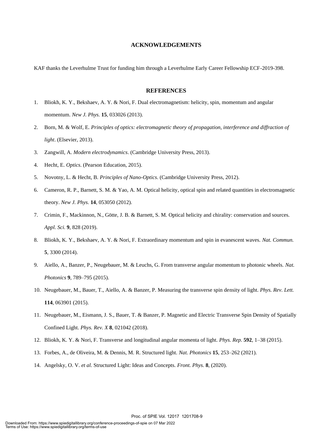#### **ACKNOWLEDGEMENTS**

KAF thanks the Leverhulme Trust for funding him through a Leverhulme Early Career Fellowship ECF-2019-398.

#### **REFERENCES**

- 1. Bliokh, K. Y., Bekshaev, A. Y. & Nori, F. Dual electromagnetism: helicity, spin, momentum and angular momentum. *New J. Phys.* **15**, 033026 (2013).
- 2. Born, M. & Wolf, E. *Principles of optics: electromagnetic theory of propagation, interference and diffraction of light*. (Elsevier, 2013).
- 3. Zangwill, A. *Modern electrodynamics*. (Cambridge University Press, 2013).
- 4. Hecht, E. *Optics*. (Pearson Education, 2015).
- 5. Novotny, L. & Hecht, B. *Principles of Nano-Optics*. (Cambridge University Press, 2012).
- 6. Cameron, R. P., Barnett, S. M. & Yao, A. M. Optical helicity, optical spin and related quantities in electromagnetic theory. *New J. Phys.* **14**, 053050 (2012).
- 7. Crimin, F., Mackinnon, N., Götte, J. B. & Barnett, S. M. Optical helicity and chirality: conservation and sources. *Appl. Sci.* **9**, 828 (2019).
- 8. Bliokh, K. Y., Bekshaev, A. Y. & Nori, F. Extraordinary momentum and spin in evanescent waves. *Nat. Commun.* **5**, 3300 (2014).
- 9. Aiello, A., Banzer, P., Neugebauer, M. & Leuchs, G. From transverse angular momentum to photonic wheels. *Nat. Photonics* **9**, 789–795 (2015).
- 10. Neugebauer, M., Bauer, T., Aiello, A. & Banzer, P. Measuring the transverse spin density of light. *Phys. Rev. Lett.* **114**, 063901 (2015).
- 11. Neugebauer, M., Eismann, J. S., Bauer, T. & Banzer, P. Magnetic and Electric Transverse Spin Density of Spatially Confined Light. *Phys. Rev. X* **8**, 021042 (2018).
- 12. Bliokh, K. Y. & Nori, F. Transverse and longitudinal angular momenta of light. *Phys. Rep.* **592**, 1–38 (2015).
- 13. Forbes, A., de Oliveira, M. & Dennis, M. R. Structured light. *Nat. Photonics* **15**, 253–262 (2021).
- 14. Angelsky, O. V. *et al.* Structured Light: Ideas and Concepts. *Front. Phys.* **8**, (2020).